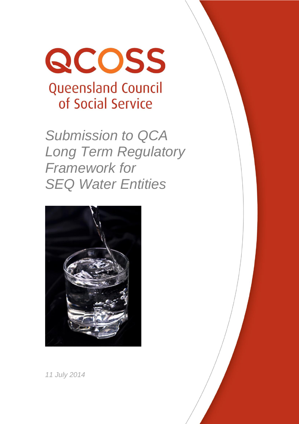

*Submission to QCA Long Term Regulatory Framework for SEQ Water Entities*



*11 July 2014*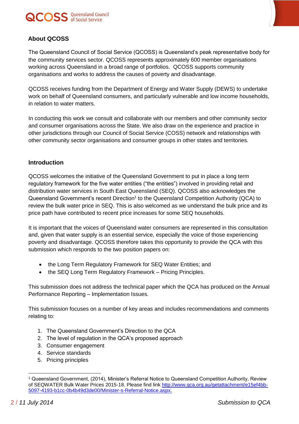



## **About QCOSS**

The Queensland Council of Social Service (QCOSS) is Queensland's peak representative body for the community services sector. QCOSS represents approximately 600 member organisations working across Queensland in a broad range of portfolios. QCOSS supports community organisations and works to address the causes of poverty and disadvantage.

QCOSS receives funding from the Department of Energy and Water Supply (DEWS) to undertake work on behalf of Queensland consumers, and particularly vulnerable and low income households, in relation to water matters.

In conducting this work we consult and collaborate with our members and other community sector and consumer organisations across the State. We also draw on the experience and practice in other jurisdictions through our Council of Social Service (COSS) network and relationships with other community sector organisations and consumer groups in other states and territories.

#### **Introduction**

QCOSS welcomes the initiative of the Queensland Government to put in place a long term regulatory framework for the five water entities ("the entities") involved in providing retail and distribution water services in South East Queensland (SEQ). QCOSS also acknowledges the Queensland Government's recent Direction<sup>1</sup> to the Queensland Competition Authority (QCA) to review the bulk water price in SEQ. This is also welcomed as we understand the bulk price and its price path have contributed to recent price increases for some SEQ households.

It is important that the voices of Queensland water consumers are represented in this consultation and, given that water supply is an essential service, especially the voice of those experiencing poverty and disadvantage. QCOSS therefore takes this opportunity to provide the QCA with this submission which responds to the two position papers on:

- the Long Term Regulatory Framework for SEQ Water Entities; and
- the SEQ Long Term Regulatory Framework Pricing Principles.

This submission does not address the technical paper which the QCA has produced on the Annual Performance Reporting – Implementation Issues.

This submission focuses on a number of key areas and includes recommendations and comments relating to:

- 1. The Queensland Government's Direction to the QCA
- 2. The level of regulation in the QCA's proposed approach
- 3. Consumer engagement
- 4. Service standards
- 5. Pricing principles

 $\overline{a}$ <sup>1</sup> Queensland Government, (2014), Minister's Referral Notice to Queensland Competition Authority, Review of SEQWATER Bulk Water Prices 2015-18. Please find link [http://www.qca.org.au/getattachment/e15ef4bb-](http://www.qca.org.au/getattachment/e15ef4bb-5097-4193-b1cc-0b4b49d3de00/Minister-s-Referral-Notice.aspx)[5097-4193-b1cc-0b4b49d3de00/Minister-s-Referral-Notice.aspx.](http://www.qca.org.au/getattachment/e15ef4bb-5097-4193-b1cc-0b4b49d3de00/Minister-s-Referral-Notice.aspx)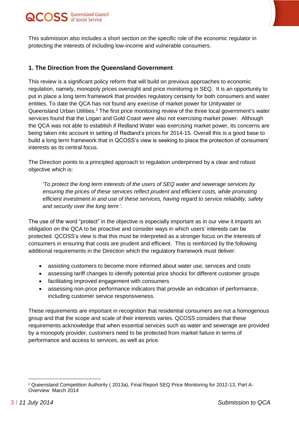

This submission also includes a short section on the specific role of the economic regulator in protecting the interests of including low-income and vulnerable consumers.

### **1. The Direction from the Queensland Government**

This review is a significant policy reform that will build on previous approaches to economic regulation, namely, monopoly prices oversight and price monitoring in SEQ. It is an opportunity to put in place a long term framework that provides regulatory certainty for both consumers and water entities. To date the QCA has not found any exercise of market power for Unitywater or Queensland Urban Utilities.<sup>2</sup> The first price monitoring review of the three local government's water services found that the Logan and Gold Coast were also not exercising market power. Although the QCA was not able to establish if Redland Water was exercising market power, its concerns are being taken into account in setting of Redland's prices for 2014-15. Overall this is a good base to build a long term framework that in QCOSS's view is seeking to place the protection of consumers' interests as its central focus.

The Direction points to a principled approach to regulation underpinned by a clear and robust objective which is:

*'To protect the long term interests of the users of SEQ water and sewerage services by ensuring the prices of these services reflect prudent and efficient costs, while promoting efficient investment in and use of these services, having regard to service reliability, safety and security over the long term '.*

The use of the word "protect" in the objective is especially important as in our view it imparts an obligation on the QCA to be proactive and consider ways in which users' interests can be protected. QCOSS's view is that this must be interpreted as a stronger focus on the interests of consumers in ensuring that costs are prudent and efficient. This is reinforced by the following additional requirements in the Direction which the regulatory framework must deliver:

- assisting customers to become more informed about water use, services and costs
- assessing tariff changes to identify potential price shocks for different customer groups
- facilitating improved engagement with consumers
- assessing non-price performance indicators that provide an indication of performance, including customer service responsiveness.

These requirements are important in recognition that residential consumers are not a homogenous group and that the scope and scale of their interests varies. QCOSS considers that these requirements acknowledge that when essential services such as water and sewerage are provided by a monopoly provider, customers need to be protected from market failure in terms of performance and access to services, as well as price.

 $\overline{a}$ <sup>2</sup> Queensland Competition Authority ( 2013a), Final Report SEQ Price Monitoring for 2012-13, Part A-Overview March 2014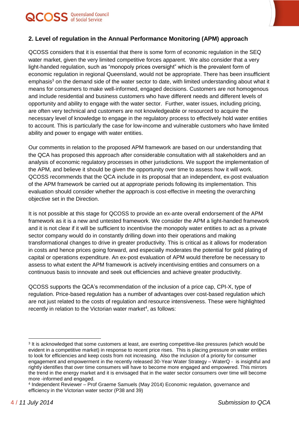



## **2. Level of regulation in the Annual Performance Monitoring (APM) approach**

QCOSS considers that it is essential that there is some form of economic regulation in the SEQ water market, given the very limited competitive forces apparent. We also consider that a very light-handed regulation, such as "monopoly prices oversight" which is the prevalent form of economic regulation in regional Queensland, would not be appropriate. There has been insufficient emphasis<sup>3</sup> on the demand side of the water sector to date, with limited understanding about what it means for consumers to make well-informed, engaged decisions. Customers are not homogenous and include residential and business customers who have different needs and different levels of opportunity and ability to engage with the water sector. Further, water issues, including pricing, are often very technical and customers are not knowledgeable or resourced to acquire the necessary level of knowledge to engage in the regulatory process to effectively hold water entities to account. This is particularly the case for low-income and vulnerable customers who have limited ability and power to engage with water entities.

Our comments in relation to the proposed APM framework are based on our understanding that the QCA has proposed this approach after considerable consultation with all stakeholders and an analysis of economic regulatory processes in other jurisdictions. We support the implementation of the APM, and believe it should be given the opportunity over time to assess how it will work. QCOSS recommends that the QCA include in its proposal that an independent, ex-post evaluation of the APM framework be carried out at appropriate periods following its implementation. This evaluation should consider whether the approach is cost-effective in meeting the overarching objective set in the Direction.

It is not possible at this stage for QCOSS to provide an ex-ante overall endorsement of the APM framework as it is a new and untested framework. We consider the APM a light-handed framework and it is not clear if it will be sufficient to incentivise the monopoly water entities to act as a private sector company would do in constantly drilling down into their operations and making transformational changes to drive in greater productivity. This is critical as it allows for moderation in costs and hence prices going forward, and especially moderates the potential for gold plating of capital or operations expenditure. An ex-post evaluation of APM would therefore be necessary to assess to what extent the APM framework is actively incentivising entities and consumers on a continuous basis to innovate and seek out efficiencies and achieve greater productivity.

QCOSS supports the QCA's recommendation of the inclusion of a price cap, CPI-X, type of regulation. Price-based regulation has a number of advantages over cost-based regulation which are not just related to the costs of regulation and resource intensiveness. These were highlighted recently in relation to the Victorian water market<sup>4</sup>, as follows:

 $\overline{a}$ <sup>3</sup> It is acknowledged that some customers at least, are exerting competitive-like pressures (which would be evident in a competitive market) in response to recent price rises. This is placing pressure on water entities to look for efficiencies and keep costs from not increasing. Also the inclusion of a priority for consumer engagement and empowerment in the recently released 30-Year Water Strategy – WaterQ - is insightful and rightly identifies that over time consumers will have to become more engaged and empowered. This mirrors the trend in the energy market and it is envisaged that in the water sector consumers over time will become more -informed and engaged.

<sup>4</sup> Independent Reviewer – Prof Graeme Samuels (May 2014) Economic regulation, governance and efficiency in the Victorian water sector (P38 and 39)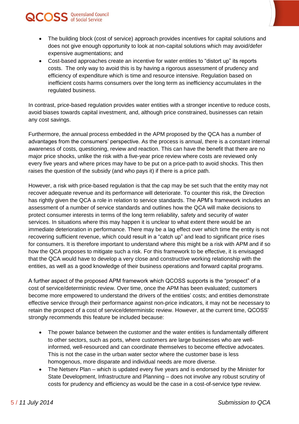

 Cost-based approaches create an incentive for water entities to "distort up" its reports costs. The only way to avoid this is by having a rigorous assessment of prudency and efficiency of expenditure which is time and resource intensive. Regulation based on inefficient costs harms consumers over the long term as inefficiency accumulates in the regulated business.

In contrast, price-based regulation provides water entities with a stronger incentive to reduce costs, avoid biases towards capital investment, and, although price constrained, businesses can retain any cost savings.

Furthermore, the annual process embedded in the APM proposed by the QCA has a number of advantages from the consumers' perspective. As the process is annual, there is a constant internal awareness of costs, questioning, review and reaction. This can have the benefit that there are no major price shocks, unlike the risk with a five-year price review where costs are reviewed only every five years and where prices may have to be put on a price-path to avoid shocks. This then raises the question of the subsidy (and who pays it) if there is a price path.

However, a risk with price-based regulation is that the cap may be set such that the entity may not recover adequate revenue and its performance will deteriorate. To counter this risk, the Direction has rightly given the QCA a role in relation to service standards. The APM's framework includes an assessment of a number of service standards and outlines how the QCA will make decisions to protect consumer interests in terms of the long term reliability, safety and security of water services. In situations where this may happen it is unclear to what extent there would be an immediate deterioration in performance. There may be a lag effect over which time the entity is not recovering sufficient revenue, which could result in a "catch up" and lead to significant price rises for consumers. It is therefore important to understand where this might be a risk with APM and if so how the QCA proposes to mitigate such a risk. For this framework to be effective, it is envisaged that the QCA would have to develop a very close and constructive working relationship with the entities, as well as a good knowledge of their business operations and forward capital programs.

A further aspect of the proposed APM framework which QCOSS supports is the "prospect" of a cost of service/deterministic review. Over time, once the APM has been evaluated; customers become more empowered to understand the drivers of the entities' costs; and entities demonstrate effective service through their performance against non-price indicators, it may not be necessary to retain the prospect of a cost of service/deterministic review. However, at the current time, QCOSS' strongly recommends this feature be included because:

- The power balance between the customer and the water entities is fundamentally different to other sectors, such as ports, where customers are large businesses who are wellinformed, well-resourced and can coordinate themselves to become effective advocates. This is not the case in the urban water sector where the customer base is less homogenous, more disparate and individual needs are more diverse.
- The Netserv Plan which is updated every five years and is endorsed by the Minister for State Development, Infrastructure and Planning – does not involve any robust scrutiny of costs for prudency and efficiency as would be the case in a cost-of-service type review.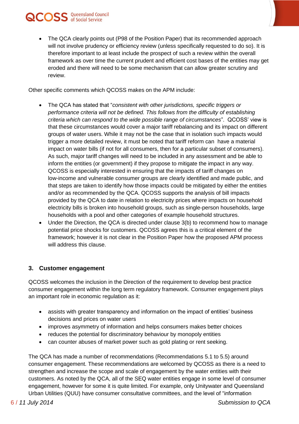

• The QCA clearly points out (P98 of the Position Paper) that its recommended approach will not involve prudency or efficiency review (unless specifically requested to do so). It is therefore important to at least include the prospect of such a review within the overall framework as over time the current prudent and efficient cost bases of the entities may get eroded and there will need to be some mechanism that can allow greater scrutiny and review.

Other specific comments which QCOSS makes on the APM include:

- The QCA has stated that "*consistent with other jurisdictions, specific triggers or performance criteria will not be defined. This follows from the difficulty of establishing criteria which can respond to the wide possible range of circumstances*". QCOSS' view is that these circumstances would cover a major tariff rebalancing and its impact on different groups of water users. While it may not be the case that in isolation such impacts would trigger a more detailed review, it must be noted that tariff reform can have a material impact on water bills (if not for all consumers, then for a particular subset of consumers). As such, major tariff changes will need to be included in any assessment and be able to inform the entities (or government) if they propose to mitigate the impact in any way. QCOSS is especially interested in ensuring that the impacts of tariff changes on low-income and vulnerable consumer groups are clearly identified and made public, and that steps are taken to identify how those impacts could be mitigated by either the entities and/or as recommended by the QCA. QCOSS supports the analysis of bill impacts provided by the QCA to date in relation to electricity prices where impacts on household electricity bills is broken into household groups, such as single-person households, large households with a pool and other categories of example household structures.
- Under the Direction, the QCA is directed under clause 3(b) to recommend how to manage potential price shocks for customers. QCOSS agrees this is a critical element of the framework; however it is not clear in the Position Paper how the proposed APM process will address this clause.

### **3. Customer engagement**

QCOSS welcomes the inclusion in the Direction of the requirement to develop best practice consumer engagement within the long term regulatory framework. Consumer engagement plays an important role in economic regulation as it:

- assists with greater transparency and information on the impact of entities' business decisions and prices on water users
- improves asymmetry of information and helps consumers makes better choices
- reduces the potential for discriminatory behaviour by monopoly entities
- can counter abuses of market power such as gold plating or rent seeking.

The QCA has made a number of recommendations (Recommendations 5.1 to 5.5) around consumer engagement. These recommendations are welcomed by QCOSS as there is a need to strengthen and increase the scope and scale of engagement by the water entities with their customers. As noted by the QCA, all of the SEQ water entities engage in some level of consumer engagement, however for some it is quite limited. For example, only Unitywater and Queensland Urban Utilities (QUU) have consumer consultative committees, and the level of "information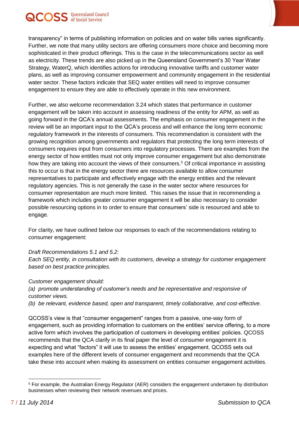transparency" in terms of publishing information on policies and on water bills varies significantly. Further, we note that many utility sectors are offering consumers more choice and becoming more sophisticated in their product offerings. This is the case in the telecommunications sector as well as electricity. These trends are also picked up in the Queensland Government's 30 Year Water Strategy, WaterQ, which identifies actions for introducing innovative tariffs and customer water plans, as well as improving consumer empowerment and community engagement in the residential water sector. These factors indicate that SEQ water entities will need to improve consumer engagement to ensure they are able to effectively operate in this new environment.

Further, we also welcome recommendation 3.24 which states that performance in customer engagement will be taken into account in assessing readiness of the entity for APM, as well as going forward in the QCA's annual assessments. The emphasis on consumer engagement in the review will be an important input to the QCA's process and will enhance the long term economic regulatory framework in the interests of consumers. This recommendation is consistent with the growing recognition among governments and regulators that protecting the long term interests of consumers requires input from consumers into regulatory processes. There are examples from the energy sector of how entitles must not only improve consumer engagement but also demonstrate how they are taking into account the views of their consumers.<sup>5</sup> Of critical importance in assisting this to occur is that in the energy sector there are resources available to allow consumer representatives to participate and effectively engage with the energy entities and the relevant regulatory agencies. This is not generally the case in the water sector where resources for consumer representation are much more limited. This raises the issue that in recommending a framework which includes greater consumer engagement it will be also necessary to consider possible resourcing options in to order to ensure that consumers' side is resourced and able to engage.

For clarity, we have outlined below our responses to each of the recommendations relating to consumer engagement:

#### *Draft Recommendations 5.1 and 5.2:*

*Each SEQ entity, in consultation with its customers, develop a strategy for customer engagement based on best practice principles.*

#### *Customer engagement should:*

*(a) promote understanding of customer's needs and be representative and responsive of customer views.*

*(b) be relevant, evidence based, open and transparent, timely collaborative, and cost-effective.* 

QCOSS's view is that "consumer engagement" ranges from a passive, one-way form of engagement, such as providing information to customers on the entities' service offering, to a more active form which involves the participation of customers in developing entities' policies. QCOSS recommends that the QCA clarify in its final paper the level of consumer engagement it is expecting and what "factors" it will use to assess the entities' engagement. QCOSS sets out examples here of the different levels of consumer engagement and recommends that the QCA take these into account when making its assessment on entities consumer engagement activities.

 $\overline{a}$ <sup>5</sup> For example, the Australian Energy Regulator (AER) considers the engagement undertaken by distribution businesses when reviewing their network revenues and prices.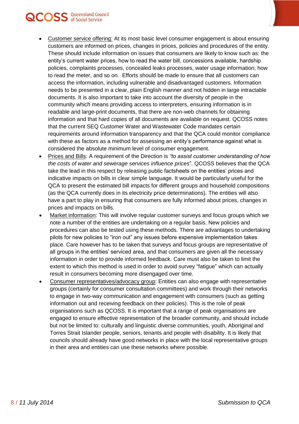

- Customer service offering: At its most basic level consumer engagement is about ensuring customers are informed on prices, changes in prices, policies and procedures of the entity. These should include information on issues that consumers are likely to know such as: the entity's current water prices, how to read the water bill, concessions available, hardship policies, complaints processes, concealed leaks processes, water usage information; how to read the meter, and so on. Efforts should be made to ensure that all customers can access the information, including vulnerable and disadvantaged customers. Information needs to be presented in a clear, plain English manner and not hidden in large intractable documents. It is also important to take into account the diversity of people in the community which means providing access to interpreters, ensuring information is in readable and large-print documents, that there are non-web channels for obtaining information and that hard copies of all documents are available on request. QCOSS notes that the current SEQ Customer Water and Wastewater Code mandates certain requirements around information transparency and that the QCA could monitor compliance with these as factors as a method for assessing an entity's performance against what is considered the absolute minimum level of consumer engagement.
- Prices and Bills: A requirement of the Direction is *"to assist customer understanding of how the costs of water and sewerage services influence prices*". QCOSS believes that the QCA take the lead in this respect by releasing public factsheets on the entities' prices and indicative impacts on bills in clear simple language. It would be particularly useful for the QCA to present the estimated bill impacts for different groups and household compositions (as the QCA currently does in its electricity price determinations). The entities will also have a part to play in ensuring that consumers are fully informed about prices, changes in prices and impacts on bills.
- Market information: This will involve regular customer surveys and focus groups which we note a number of the entities are undertaking on a regular basis. New policies and procedures can also be tested using these methods. There are advantages to undertaking pilots for new policies to "iron out" any issues before expensive implementation takes place. Care however has to be taken that surveys and focus groups are representative of all groups in the entities' serviced area, and that consumers are given all the necessary information in order to provide informed feedback. Care must also be taken to limit the extent to which this method is used in order to avoid survey "fatigue" which can actually result in consumers becoming more disengaged over time.
- Consumer representatives/advocacy group: Entities can also engage with representative groups (certainly for consumer consultation committees) and work through their networks to engage in two-way communication and engagement with consumers (such as getting information out and receiving feedback on their policies). This is the role of peak organisations such as QCOSS. It is important that a range of peak organisations are engaged to ensure effective representation of the broader community, and should include but not be limited to: culturally and linguistic diverse communities, youth, Aboriginal and Torres Strait Islander people, seniors, tenants and people with disability. It is likely that councils should already have good networks in place with the local representative groups in their area and entities can use these networks where possible.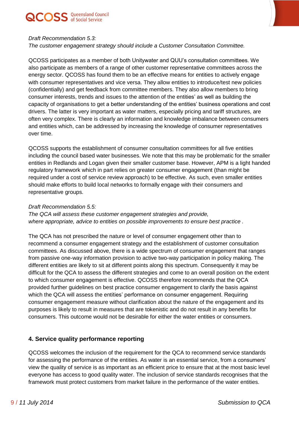



#### *Draft Recommendation 5.3:*

*The customer engagement strategy should include a Customer Consultation Committee.*

QCOSS participates as a member of both Unitywater and QUU's consultation committees. We also participate as members of a range of other customer representative committees across the energy sector. QCOSS has found them to be an effective means for entities to actively engage with consumer representatives and vice versa. They allow entities to introduce/test new policies (confidentially) and get feedback from committee members. They also allow members to bring consumer interests, trends and issues to the attention of the entities' as well as building the capacity of organisations to get a better understanding of the entities' business operations and cost drivers. The latter is very important as water matters, especially pricing and tariff structures, are often very complex. There is clearly an information and knowledge imbalance between consumers and entities which, can be addressed by increasing the knowledge of consumer representatives over time.

QCOSS supports the establishment of consumer consultation committees for all five entities including the council based water businesses. We note that this may be problematic for the smaller entities in Redlands and Logan given their smaller customer base. However, APM is a light handed regulatory framework which in part relies on greater consumer engagement (than might be required under a cost of service review approach) to be effective. As such, even smaller entities should make efforts to build local networks to formally engage with their consumers and representative groups.

#### *Draft Recommendation 5.5:*

*The QCA will assess these customer engagement strategies and provide, where appropriate, advice to entities on possible improvements to ensure best practice .*

The QCA has not prescribed the nature or level of consumer engagement other than to recommend a consumer engagement strategy and the establishment of customer consultation committees. As discussed above, there is a wide spectrum of consumer engagement that ranges from passive one-way information provision to active two-way participation in policy making. The different entities are likely to sit at different points along this spectrum. Consequently it may be difficult for the QCA to assess the different strategies and come to an overall position on the extent to which consumer engagement is effective. QCOSS therefore recommends that the QCA provided further guidelines on best practice consumer engagement to clarify the basis against which the QCA will assess the entities' performance on consumer engagement. Requiring consumer engagement measure without clarification about the nature of the engagement and its purposes is likely to result in measures that are tokenistic and do not result in any benefits for consumers. This outcome would not be desirable for either the water entities or consumers.

#### **4. Service quality performance reporting**

QCOSS welcomes the inclusion of the requirement for the QCA to recommend service standards for assessing the performance of the entities. As water is an essential service, from a consumers' view the quality of service is as important as an efficient price to ensure that at the most basic level everyone has access to good quality water. The inclusion of service standards recognises that the framework must protect customers from market failure in the performance of the water entities.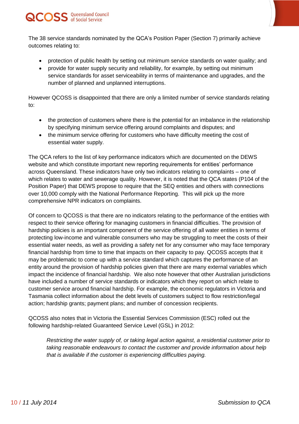

The 38 service standards nominated by the QCA's Position Paper (Section 7) primarily achieve outcomes relating to:

- protection of public health by setting out minimum service standards on water quality; and
- provide for water supply security and reliability, for example, by setting out minimum service standards for asset serviceability in terms of maintenance and upgrades, and the number of planned and unplanned interruptions.

However QCOSS is disappointed that there are only a limited number of service standards relating to:

- the protection of customers where there is the potential for an imbalance in the relationship by specifying minimum service offering around complaints and disputes; and
- the minimum service offering for customers who have difficulty meeting the cost of essential water supply.

The QCA refers to the list of key performance indicators which are documented on the DEWS website and which constitute important new reporting requirements for entities' performance across Queensland. These indicators have only two indicators relating to complaints – one of which relates to water and sewerage quality. However, it is noted that the QCA states (P104 of the Position Paper) that DEWS propose to require that the SEQ entities and others with connections over 10,000 comply with the National Performance Reporting. This will pick up the more comprehensive NPR indicators on complaints.

Of concern to QCOSS is that there are no indicators relating to the performance of the entities with respect to their service offering for managing customers in financial difficulties. The provision of hardship policies is an important component of the service offering of all water entities in terms of protecting low-income and vulnerable consumers who may be struggling to meet the costs of their essential water needs, as well as providing a safety net for any consumer who may face temporary financial hardship from time to time that impacts on their capacity to pay. QCOSS accepts that it may be problematic to come up with a service standard which captures the performance of an entity around the provision of hardship policies given that there are many external variables which impact the incidence of financial hardship. We also note however that other Australian jurisdictions have included a number of service standards or indicators which they report on which relate to customer service around financial hardship. For example, the economic regulators in Victoria and Tasmania collect information about the debt levels of customers subject to flow restriction/legal action; hardship grants; payment plans; and number of concession recipients.

QCOSS also notes that in Victoria the Essential Services Commission (ESC) rolled out the following hardship-related Guaranteed Service Level (GSL) in 2012:

*Restricting the water supply of, or taking legal action against, a residential customer prior to taking reasonable endeavours to contact the customer and provide information about help that is available if the customer is experiencing difficulties paying.*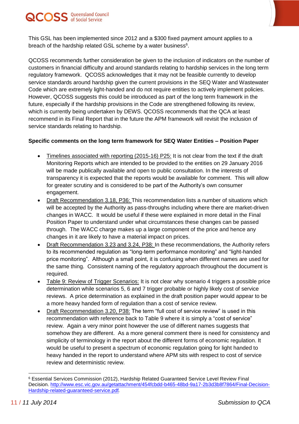

This GSL has been implemented since 2012 and a \$300 fixed payment amount applies to a breach of the hardship related GSL scheme by a water business $^6$ .

QCOSS recommends further consideration be given to the inclusion of indicators on the number of customers in financial difficulty and around standards relating to hardship services in the long term regulatory framework. QCOSS acknowledges that it may not be feasible currently to develop service standards around hardship given the current provisions in the SEQ Water and Wastewater Code which are extremely light-handed and do not require entities to actively implement policies. However, QCOSS suggests this could be introduced as part of the long term framework in the future, especially if the hardship provisions in the Code are strengthened following its review, which is currently being undertaken by DEWS. QCOSS recommends that the QCA at least recommend in its Final Report that in the future the APM framework will revisit the inclusion of service standards relating to hardship.

#### **Specific comments on the long term framework for SEQ Water Entities – Position Paper**

- Timelines associated with reporting (2015-16) P25: It is not clear from the text if the draft Monitoring Reports which are intended to be provided to the entities on 29 January 2016 will be made publically available and open to public consultation. In the interests of transparency it is expected that the reports would be available for comment. This will allow for greater scrutiny and is considered to be part of the Authority's own consumer engagement.
- Draft Recommendation 3.18, P36: This recommendation lists a number of situations which will be accepted by the Authority as pass-throughs including where there are market-driven changes in WACC. It would be useful if these were explained in more detail in the Final Position Paper to understand under what circumstances these changes can be passed through. The WACC charge makes up a large component of the price and hence any changes in it are likely to have a material impact on prices.
- Draft Recommendation 3.23 and 3.24, P38: In these recommendations, the Authority refers to its recommended regulation as "long-term performance monitoring" and "light-handed price monitoring". Although a small point, it is confusing when different names are used for the same thing. Consistent naming of the regulatory approach throughout the document is required.
- Table 9: Review of Trigger Scenarios: It is not clear why scenario 4 triggers a possible price determination while scenarios 5, 6 and 7 trigger probable or highly likely cost of service reviews. A price determination as explained in the draft position paper would appear to be a more heavy handed form of regulation than a cost of service review.
- Draft Recommendation 3.20, P38: The term "full cost of service review" is used in this recommendation with reference back to Table 9 where it is simply a "cost of service" review. Again a very minor point however the use of different names suggests that somehow they are different. As a more general comment there is need for consistency and simplicity of terminology in the report about the different forms of economic regulation. It would be useful to present a spectrum of economic regulation going for light handed to heavy handed in the report to understand where APM sits with respect to cost of service review and deterministic review.

 $\overline{a}$ <sup>6</sup> Essential Services Commission (2012), Hardship Related Guaranteed Service Level Review Final Decision. [http://www.esc.vic.gov.au/getattachment/454fcbdd-b465-48bd-9a17-2b3d3b8f7864/Final-Decision-](http://www.esc.vic.gov.au/getattachment/454fcbdd-b465-48bd-9a17-2b3d3b8f7864/Final-Decision-Hardship-related-guaranteed-service.pdf)[Hardship-related-guaranteed-service.pdf](http://www.esc.vic.gov.au/getattachment/454fcbdd-b465-48bd-9a17-2b3d3b8f7864/Final-Decision-Hardship-related-guaranteed-service.pdf).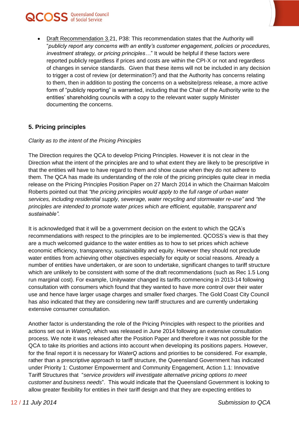

 Draft Recommendation 3.21, P38: This recommendation states that the Authority will "*publicly report any concerns with an entity's customer engagement, policies or procedures, investment strategy, or pricing principles…*" It would be helpful if these factors were reported publicly regardless if prices and costs are within the CPI-X or not and regardless of changes in service standards. Given that these items will not be included in any decision to trigger a cost of review (or determination?) and that the Authority has concerns relating to them, then in addition to posting the concerns on a website/press release, a more active form of "publicly reporting" is warranted, including that the Chair of the Authority write to the entities' shareholding councils with a copy to the relevant water supply Minister documenting the concerns.

### **5. Pricing principles**

#### *Clarity as to the intent of the Pricing Principles*

The Direction requires the QCA to develop Pricing Principles. However it is not clear in the Direction what the intent of the principles are and to what extent they are likely to be prescriptive in that the entities will have to have regard to them and show cause when they do not adhere to them. The QCA has made its understanding of the role of the pricing principles quite clear in media release on the Pricing Principles Position Paper on 27 March 2014 in which the Chairman Malcolm Roberts pointed out that *"the pricing principles would apply to the full range of urban water services, including residential supply, sewerage, water recycling and stormwater re-use"* and *"the principles are intended to promote water prices which are efficient, equitable, transparent and sustainable".*

It is acknowledged that it will be a government decision on the extent to which the QCA's recommendations with respect to the principles are to be implemented. QCOSS's view is that they are a much welcomed guidance to the water entities as to how to set prices which achieve economic efficiency, transparency, sustainability and equity. However they should not preclude water entities from achieving other objectives especially for equity or social reasons. Already a number of entities have undertaken, or are soon to undertake, significant changes to tariff structure which are unlikely to be consistent with some of the draft recommendations (such as Rec 1.5 Long run marginal cost). For example, Unitywater changed its tariffs commencing in 2013-14 following consultation with consumers which found that they wanted to have more control over their water use and hence have larger usage charges and smaller fixed charges. The Gold Coast City Council has also indicated that they are considering new tariff structures and are currently undertaking extensive consumer consultation.

Another factor is understanding the role of the Pricing Principles with respect to the priorities and actions set out in *WaterQ,* which was released in June 2014 following an extensive consultation process. We note it was released after the Position Paper and therefore it was not possible for the QCA to take its priorities and actions into account when developing its positions papers. However, for the final report it is necessary for *WaterQ* actions and priorities to be considered. For example, rather than a prescriptive approach to tariff structure, the Queensland Government has indicated under Priority 1: Customer Empowerment and Community Engagement, Action 1.1: Innovative Tariff Structures that "*service providers will investigate alternative pricing options to meet customer and business needs*". This would indicate that the Queensland Government is looking to allow greater flexibility for entities in their tariff design and that they are expecting entities to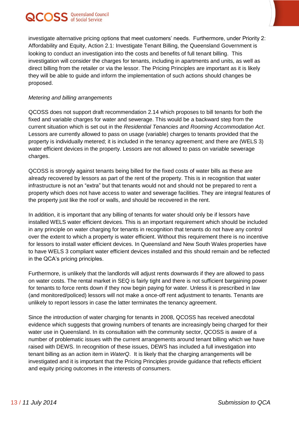

investigate alternative pricing options that meet customers' needs. Furthermore, under Priority 2: Affordability and Equity, Action 2.1: Investigate Tenant Billing, the Queensland Government is looking to conduct an investigation into the costs and benefits of full tenant billing. This investigation will consider the charges for tenants, including in apartments and units, as well as direct billing from the retailer or via the lessor. The Pricing Principles are important as it is likely they will be able to guide and inform the implementation of such actions should changes be proposed.

#### *Metering and billing arrangements*

QCOSS does not support draft recommendation 2.14 which proposes to bill tenants for both the fixed and variable charges for water and sewerage. This would be a backward step from the current situation which is set out in the *Residential Tenancies and Rooming Accommodation Act*. Lessors are currently allowed to pass on usage (variable) charges to tenants provided that the property is individually metered; it is included in the tenancy agreement; and there are (WELS 3) water efficient devices in the property. Lessors are not allowed to pass on variable sewerage charges.

QCOSS is strongly against tenants being billed for the fixed costs of water bills as these are already recovered by lessors as part of the rent of the property. This is in recognition that water infrastructure is not an "extra" but that tenants would not and should not be prepared to rent a property which does not have access to water and sewerage facilities. They are integral features of the property just like the roof or walls, and should be recovered in the rent.

In addition, it is important that any billing of tenants for water should only be if lessors have installed WELS water efficient devices. This is an important requirement which should be included in any principle on water charging for tenants in recognition that tenants do not have any control over the extent to which a property is water efficient. Without this requirement there is no incentive for lessors to install water efficient devices. In Queensland and New South Wales properties have to have WELS 3 compliant water efficient devices installed and this should remain and be reflected in the QCA's pricing principles.

Furthermore, is unlikely that the landlords will adjust rents downwards if they are allowed to pass on water costs. The rental market in SEQ is fairly tight and there is not sufficient bargaining power for tenants to force rents down if they now begin paying for water. Unless it is prescribed in law (and monitored/policed) lessors will not make a once-off rent adjustment to tenants. Tenants are unlikely to report lessors in case the latter terminates the tenancy agreement.

Since the introduction of water charging for tenants in 2008, QCOSS has received anecdotal evidence which suggests that growing numbers of tenants are increasingly being charged for their water use in Queensland. In its consultation with the community sector, QCOSS is aware of a number of problematic issues with the current arrangements around tenant billing which we have raised with DEWS. In recognition of these issues, DEWS has included a full investigation into tenant billing as an action item in *WaterQ*. It is likely that the charging arrangements will be investigated and it is important that the Pricing Principles provide guidance that reflects efficient and equity pricing outcomes in the interests of consumers.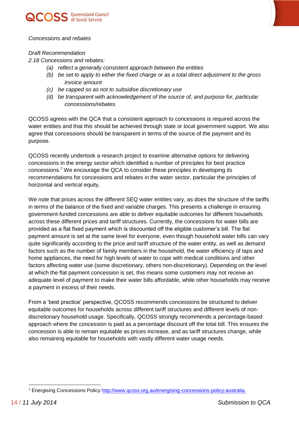



#### *Draft Recommendation*

*2.18 Concessions and rebates:* 

- *(a) reflect a generally consistent approach between the entities*
- *(b) be set to apply to either the fixed charge or as a total direct adjustment to the gross invoice amount*
- *(c) be capped so as not to subsidise discretionary use*
- *(d) be transparent with acknowledgement of the source of, and purpose for, particular concessions/rebates.*

QCOSS agrees with the QCA that a consistent approach to concessions is required across the water entities and that this should be achieved through state or local government support. We also agree that concessions should be transparent in terms of the source of the payment and its purpose.

QCOSS recently undertook a research project to examine alternative options for delivering concessions in the energy sector which identified a number of principles for best practice concessions.<sup>7</sup> We encourage the QCA to consider these principles in developing its recommendations for concessions and rebates in the water sector, particular the principles of horizontal and vertical equity.

We note that prices across the different SEQ water entities vary, as does the structure of the tariffs in terms of the balance of the fixed and variable charges. This presents a challenge in ensuring government-funded concessions are able to deliver equitable outcomes for different households across these different prices and tariff structures. Currently, the concessions for water bills are provided as a flat fixed payment which is discounted off the eligible customer's bill. The flat payment amount is set at the same level for everyone, even though household water bills can vary quite significantly according to the price and tariff structure of the water entity, as well as demand factors such as the number of family members in the household, the water efficiency of taps and home appliances, the need for high levels of water to cope with medical conditions and other factors affecting water use (some discretionary, others non-discretionary). Depending on the level at which the flat payment concession is set, this means some customers may not receive an adequate level of payment to make their water bills affordable, while other households may receive a payment in excess of their needs.

From a 'best practice' perspective, QCOSS recommends concessions be structured to deliver equitable outcomes for households across different tariff structures and different levels of nondiscretionary household usage. Specifically, QCOSS strongly recommends a percentage-based approach where the concession is paid as a percentage discount off the total bill. This ensures the concession is able to remain equitable as prices increase, and as tariff structures change, while also remaining equitable for households with vastly different water usage needs.

 $\overline{a}$ <sup>7</sup> Energising Concessions Policy [http://www.qcoss.org.au/energising-concessions-policy-australia.](http://www.qcoss.org.au/energising-concessions-policy-australia)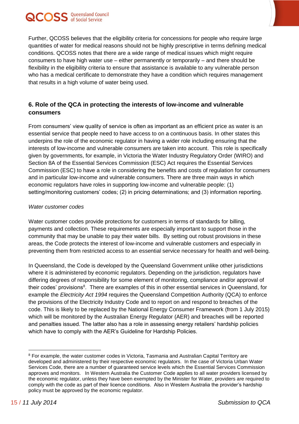Further, QCOSS believes that the eligibility criteria for concessions for people who require large quantities of water for medical reasons should not be highly prescriptive in terms defining medical conditions. QCOSS notes that there are a wide range of medical issues which might require consumers to have high water use – either permanently or temporarily – and there should be flexibility in the eligibility criteria to ensure that assistance is available to any vulnerable person who has a medical certificate to demonstrate they have a condition which requires management that results in a high volume of water being used.

### **6. Role of the QCA in protecting the interests of low-income and vulnerable consumers**

From consumers' view quality of service is often as important as an efficient price as water is an essential service that people need to have access to on a continuous basis. In other states this underpins the role of the economic regulator in having a wider role including ensuring that the interests of low-income and vulnerable consumers are taken into account. This role is specifically given by governments, for example, in Victoria the Water Industry Regulatory Order (WIRO) and Section 8A of the Essential Services Commission (ESC) Act requires the Essential Services Commission (ESC) to have a role in considering the benefits and costs of regulation for consumers and in particular low-income and vulnerable consumers. There are three main ways in which economic regulators have roles in supporting low-income and vulnerable people: (1) setting/monitoring customers' codes; (2) in pricing determinations; and (3) information reporting.

#### *Water customer codes*

Water customer codes provide protections for customers in terms of standards for billing, payments and collection. These requirements are especially important to support those in the community that may be unable to pay their water bills. By setting out robust provisions in these areas, the Code protects the interest of low-income and vulnerable customers and especially in preventing them from restricted access to an essential service necessary for health and well-being.

In Queensland, the Code is developed by the Queensland Government unlike other jurisdictions where it is administered by economic regulators. Depending on the jurisdiction, regulators have differing degrees of responsibility for some element of monitoring, compliance and/or approval of their codes' provisions<sup>8</sup>. There are examples of this in other essential services in Queensland, for example the *Electricity Act 1994* requires the Queensland Competition Authority (QCA) to enforce the provisions of the Electricity Industry Code and to report on and respond to breaches of the code. This is likely to be replaced by the National Energy Consumer Framework (from 1 July 2015) which will be monitored by the Australian Energy Regulator (AER) and breaches will be reported and penalties issued. The latter also has a role in assessing energy retailers' hardship policies which have to comply with the AER's Guideline for Hardship Policies.

 $\overline{a}$ 

<sup>8</sup> For example, the water customer codes in Victoria, Tasmania and Australian Capital Territory are developed and administered by their respective economic regulators. In the case of Victoria Urban Water Services Code, there are a number of guaranteed service levels which the Essential Services Commission approves and monitors. In Western Australia the Customer Code applies to all water providers licensed by the economic regulator, unless they have been exempted by the Minister for Water, providers are required to comply with the code as part of their licence conditions. Also in Western Australia the provider's hardship policy must be approved by the economic regulator.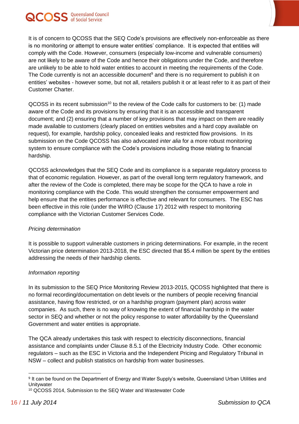

It is of concern to QCOSS that the SEQ Code's provisions are effectively non-enforceable as there is no monitoring or attempt to ensure water entities' compliance. It is expected that entities will comply with the Code. However, consumers (especially low-income and vulnerable consumers) are not likely to be aware of the Code and hence their obligations under the Code, and therefore are unlikely to be able to hold water entities to account in meeting the requirements of the Code. The Code currently is not an accessible document<sup>9</sup> and there is no requirement to publish it on entities' websites - however some, but not all, retailers publish it or at least refer to it as part of their Customer Charter.

QCOSS in its recent submission<sup>10</sup> to the review of the Code calls for customers to be: (1) made aware of the Code and its provisions by ensuring that it is an accessible and transparent document; and (2) ensuring that a number of key provisions that may impact on them are readily made available to customers (clearly placed on entities websites and a hard copy available on request), for example, hardship policy, concealed leaks and restricted flow provisions. In its submission on the Code QCOSS has also advocated *inter alia* for a more robust monitoring system to ensure compliance with the Code's provisions including those relating to financial hardship.

QCOSS acknowledges that the SEQ Code and its compliance is a separate regulatory process to that of economic regulation. However, as part of the overall long term regulatory framework, and after the review of the Code is completed, there may be scope for the QCA to have a role in monitoring compliance with the Code. This would strengthen the consumer empowerment and help ensure that the entities performance is effective and relevant for consumers. The ESC has been effective in this role (under the WIRO (Clause 17) 2012 with respect to monitoring compliance with the Victorian Customer Services Code.

#### *Pricing determination*

It is possible to support vulnerable customers in pricing determinations. For example, in the recent Victorian price determination 2013-2018, the ESC directed that \$5.4 million be spent by the entities addressing the needs of their hardship clients.

#### *Information reporting*

In its submission to the SEQ Price Monitoring Review 2013-2015, QCOSS highlighted that there is no formal recording/documentation on debt levels or the numbers of people receiving financial assistance, having flow restricted, or on a hardship program (payment plan) across water companies. As such, there is no way of knowing the extent of financial hardship in the water sector in SEQ and whether or not the policy response to water affordability by the Queensland Government and water entities is appropriate.

The QCA already undertakes this task with respect to electricity disconnections, financial assistance and complaints under Clause 8.5.1 of the Electricity Industry Code. Other economic regulators – such as the ESC in Victoria and the Independent Pricing and Regulatory Tribunal in NSW – collect and publish statistics on hardship from water businesses.

 $\overline{a}$ 

<sup>9</sup> It can be found on the Department of Energy and Water Supply's website, Queensland Urban Utilities and **Unitywater** 

<sup>10</sup> QCOSS 2014, Submission to the SEQ Water and Wastewater Code